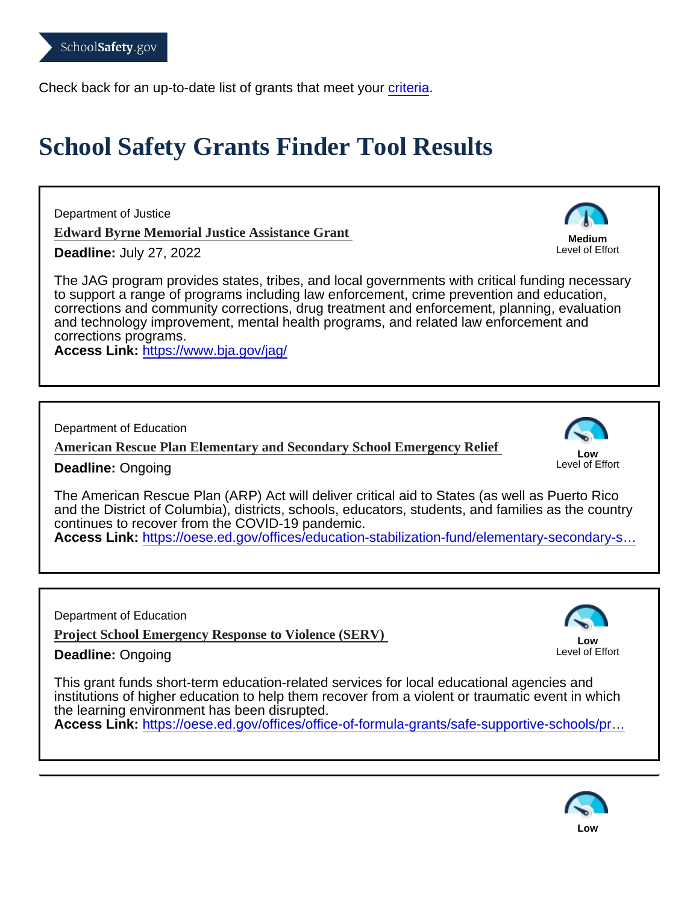Check back for an up-to-date list of grants that meet your [criteria](https://www.schoolsafety.gov/grants-finder-tool?application_month=all&application_year=all#block-views-block-grants-finder-view-block-1).

## School Safety Grants Finder Tool Results

Department of Justice

[Edward Byrne Memorial Justice Assistance Grant](https://www.bja.gov/jag/)

Deadline: July 27, 2022

The JAG program provides states, tribes, and local governments with critical funding necessary to support a range of programs including law enforcement, crime prevention and education, corrections and community corrections, drug treatment and enforcement, planning, evaluation and technology improvement, mental health programs, and related law enforcement and corrections programs.

Access Link: <https://www.bja.gov/jag/>

Department of Education

[American Rescue Plan Elementary and Secondary School Emergency Re](https://oese.ed.gov/offices/education-stabilization-fund/elementary-secondary-school-emergency-relief-fund/)lief

Low Level of Effort

Medium Level of Effort

Deadline: Ongoing

The American Rescue Plan (ARP) Act will deliver critical aid to States (as well as Puerto Rico and the District of Columbia), districts, schools, educators, students, and families as the country continues to recover from the COVID-19 pandemic.

Access Link: [https://oese.ed.gov/offices/education-stabilization-fund/elementary-secondary-s…](https://oese.ed.gov/offices/education-stabilization-fund/elementary-secondary-school-emergency-relief-fund/)

Department of Education

[Project School Emergency Response to Violence \(SER](https://oese.ed.gov/offices/office-of-formula-grants/safe-supportive-schools/project-serv-school-emergency-response-to-violence/)V)

Deadline: Ongoing

Low Level of Effort

This grant funds short-term education-related services for local educational agencies and institutions of higher education to help them recover from a violent or traumatic event in which the learning environment has been disrupted.

Access Link: https://oese.ed.gov/offices/office-of-formula-grants/safe-supportive-schools/pr...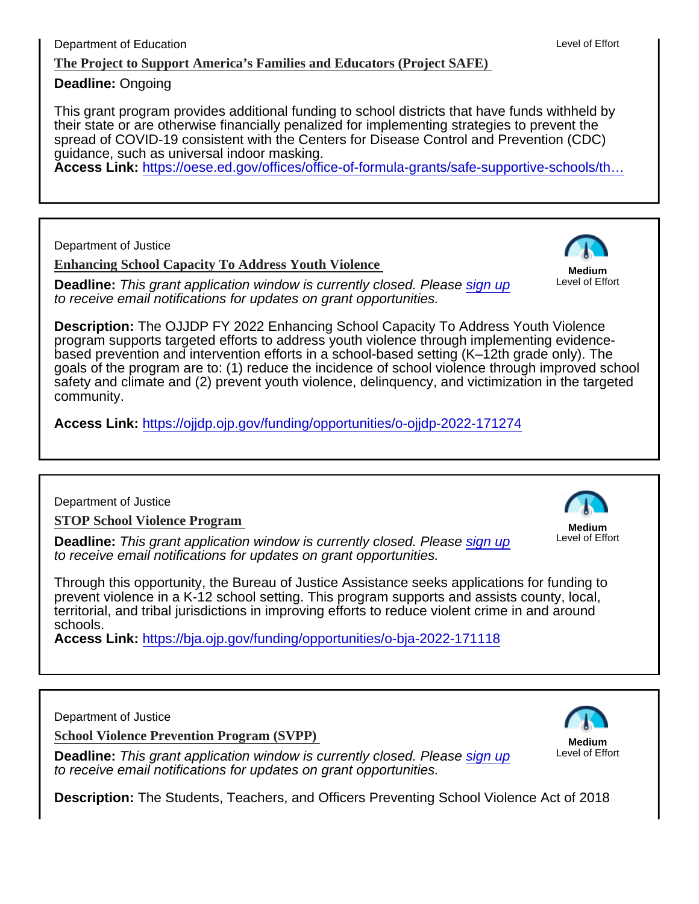Deadline: Ongoing

This grant program provides additional funding to school districts that have funds withheld by their state or are otherwise financially penalized for implementing strategies to prevent the spread of COVID-19 consistent with the Centers for Disease Control and Prevention (CDC) guidance, such as universal indoor masking.

Access Link: [https://oese.ed.gov/offices/office-of-formula-grants/safe-supportive-schools/th…](https://oese.ed.gov/offices/office-of-formula-grants/safe-supportive-schools/the-project-to-support-americas-families-and-educators-project-safe/applicant-information/)

Department of Justice

[Enhancing School Capacity To Address Youth Violenc](https://ojjdp.ojp.gov/funding/opportunities/o-ojjdp-2022-171274)e

Deadline: This grant application window is currently closed. Please [sign up](https://www.schoolsafety.gov/grants-finder-tool/#edit-intro) to receive email notifications for updates on grant opportunities.

Medium Level of Effort

Description: The OJJDP FY 2022 Enhancing School Capacity To Address Youth Violence program supports targeted efforts to address youth violence through implementing evidencebased prevention and intervention efforts in a school-based setting (K–12th grade only). The goals of the program are to: (1) reduce the incidence of school violence through improved school safety and climate and (2) prevent youth violence, delinquency, and victimization in the targeted community.

Access Link: <https://ojjdp.ojp.gov/funding/opportunities/o-ojjdp-2022-171274>

Department of Justice

[STOP School Violence Program](https://bja.ojp.gov/funding/opportunities/o-bja-2022-171118)

Deadline: This grant application window is currently closed. Please [sign up](https://www.schoolsafety.gov/grants-finder-tool/#edit-intro) to receive email notifications for updates on grant opportunities.

Medium Level of Effort

Through this opportunity, the Bureau of Justice Assistance seeks applications for funding to prevent violence in a K-12 school setting. This program supports and assists county, local, territorial, and tribal jurisdictions in improving efforts to reduce violent crime in and around schools.

Access Link: <https://bja.ojp.gov/funding/opportunities/o-bja-2022-171118>

Department of Justice

[School Violence Prevention Program \(SVPP](https://cops.usdoj.gov/svpp))

Deadline: This grant application window is currently closed. Please [sign up](https://www.schoolsafety.gov/grants-finder-tool/#edit-intro) to receive email notifications for updates on grant opportunities.

Medium Level of Effort

Description: The Students, Teachers, and Officers Preventing School Violence Act of 2018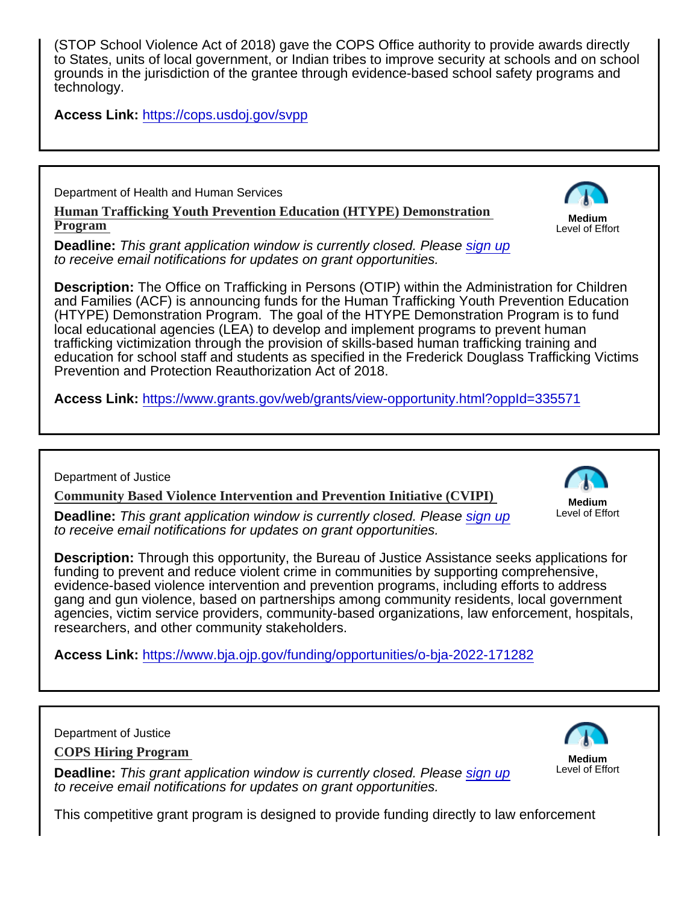(STOP School Violence Act of 2018) gave the COPS Office authority to provide awards directly to States, units of local government, or Indian tribes to improve security at schools and on school grounds in the jurisdiction of the grantee through evidence-based school safety programs and technology.

Access Link: <https://cops.usdoj.gov/svpp>

Department of Health and Human Services

[Human Trafficking Youth Prevention Education \(HTYPE\) Demonstration](https://www.grants.gov/web/grants/view-opportunity.html?oppId=335571)  [Program](https://www.grants.gov/web/grants/view-opportunity.html?oppId=335571) 

Medium Level of Effort

Deadline: This grant application window is currently closed. Please [sign up](https://www.schoolsafety.gov/grants-finder-tool/#edit-intro) to receive email notifications for updates on grant opportunities.

Description: The Office on Trafficking in Persons (OTIP) within the Administration for Children and Families (ACF) is announcing funds for the Human Trafficking Youth Prevention Education (HTYPE) Demonstration Program. The goal of the HTYPE Demonstration Program is to fund local educational agencies (LEA) to develop and implement programs to prevent human trafficking victimization through the provision of skills-based human trafficking training and education for school staff and students as specified in the Frederick Douglass Trafficking Victims Prevention and Protection Reauthorization Act of 2018.

Access Link: <https://www.grants.gov/web/grants/view-opportunity.html?oppId=335571>

Department of Justice

[Community Based Violence Intervention and Prevention Initiative \(CVIPI\)](https://www.bja.ojp.gov/funding/opportunities/o-bja-2022-171282)

Deadline: This grant application window is currently closed. Please [sign up](https://www.schoolsafety.gov/grants-finder-tool/#edit-intro) to receive email notifications for updates on grant opportunities.

Medium Level of Effort

Description: Through this opportunity, the Bureau of Justice Assistance seeks applications for funding to prevent and reduce violent crime in communities by supporting comprehensive, evidence-based violence intervention and prevention programs, including efforts to address gang and gun violence, based on partnerships among community residents, local government agencies, victim service providers, community-based organizations, law enforcement, hospitals, researchers, and other community stakeholders.

Access Link: <https://www.bja.ojp.gov/funding/opportunities/o-bja-2022-171282>

Department of Justice

[COPS Hiring Program](https://cops.usdoj.gov/chp) 

Deadline: This grant application window is currently closed. Please [sign up](https://www.schoolsafety.gov/grants-finder-tool/#edit-intro) to receive email notifications for updates on grant opportunities.

Medium Level of Effort

This competitive grant program is designed to provide funding directly to law enforcement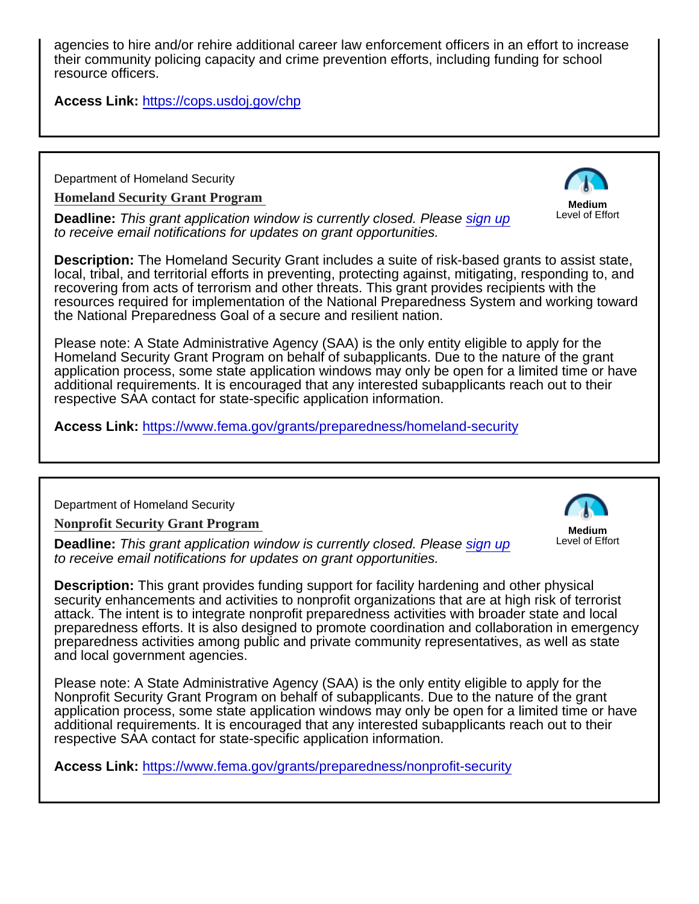agencies to hire and/or rehire additional career law enforcement officers in an effort to increase their community policing capacity and crime prevention efforts, including funding for school resource officers.

Access Link: <https://cops.usdoj.gov/chp>

Department of Homeland Security

[Homeland Security Grant Program](https://www.fema.gov/grants/preparedness/homeland-security) 

Deadline: This grant application window is currently closed. Please [sign up](https://www.schoolsafety.gov/grants-finder-tool/#edit-intro) to receive email notifications for updates on grant opportunities.

Description: The Homeland Security Grant includes a suite of risk-based grants to assist state, local, tribal, and territorial efforts in preventing, protecting against, mitigating, responding to, and recovering from acts of terrorism and other threats. This grant provides recipients with the resources required for implementation of the National Preparedness System and working toward

Homeland Security Grant Program on behalf of subapplicants. Due to the nature of the grant application process, some state application windows may only be open for a limited time or have additional requirements. It is encouraged that any interested subapplicants reach out to their

Department of Homeland Security

[Nonprofit Security Grant Program](https://www.fema.gov/grants/preparedness/nonprofit-security) 

Deadline: This grant application window is currently closed. Please [sign up](https://www.schoolsafety.gov/grants-finder-tool/#edit-intro) to receive email notifications for updates on grant opportunities.

Medium Level of Effort

Medium Level of Effort

Description: This grant provides funding support for facility hardening and other physical security enhancements and activities to nonprofit organizations that are at high risk of terrorist attack. The intent is to integrate nonprofit preparedness activities with broader state and local preparedness efforts. It is also designed to promote coordination and collaboration in emergency preparedness activities among public and private community representatives, as well as state and local government agencies.

Please note: A State Administrative Agency (SAA) is the only entity eligible to apply for the Nonprofit Security Grant Program on behalf of subapplicants. Due to the nature of the grant application process, some state application windows may only be open for a limited time or have additional requirements. It is encouraged that any interested subapplicants reach out to their respective SAA contact for state-specific application information.

Access Link: <https://www.fema.gov/grants/preparedness/nonprofit-security>

the National Preparedness Goal of a secure and resilient nation. Please note: A State Administrative Agency (SAA) is the only entity eligible to apply for the respective SAA contact for state-specific application information. Access Link: <https://www.fema.gov/grants/preparedness/homeland-security>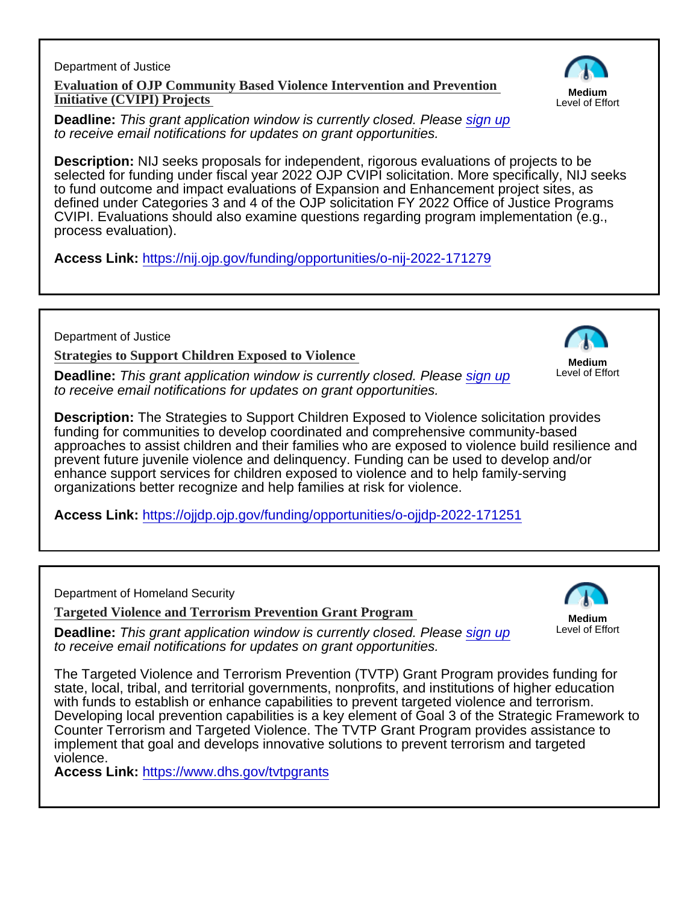Department of Justice [Evaluation of OJP Community Based Violence Intervention and Prevention](https://nij.ojp.gov/funding/opportunities/o-nij-2022-171279) [Initiative \(CVIPI\) Projects](https://nij.ojp.gov/funding/opportunities/o-nij-2022-171279) 

Medium Level of Effort

Deadline: This grant application window is currently closed. Please [sign up](https://www.schoolsafety.gov/grants-finder-tool/#edit-intro) to receive email notifications for updates on grant opportunities.

Description: NIJ seeks proposals for independent, rigorous evaluations of projects to be selected for funding under fiscal year 2022 OJP CVIPI solicitation. More specifically, NIJ seeks to fund outcome and impact evaluations of Expansion and Enhancement project sites, as defined under Categories 3 and 4 of the OJP solicitation FY 2022 Office of Justice Programs CVIPI. Evaluations should also examine questions regarding program implementation (e.g., process evaluation).

Access Link: <https://nij.ojp.gov/funding/opportunities/o-nij-2022-171279>

Department of Justice

[Strategies to Support Children Exposed to Violence](https://ojjdp.ojp.gov/funding/opportunities/o-ojjdp-2022-171251)

Deadline: This grant application window is currently closed. Please [sign up](https://www.schoolsafety.gov/grants-finder-tool/#edit-intro) to receive email notifications for updates on grant opportunities.

Medium Level of Effort

Description: The Strategies to Support Children Exposed to Violence solicitation provides funding for communities to develop coordinated and comprehensive community-based approaches to assist children and their families who are exposed to violence build resilience and prevent future juvenile violence and delinquency. Funding can be used to develop and/or enhance support services for children exposed to violence and to help family-serving organizations better recognize and help families at risk for violence.

Access Link: <https://ojjdp.ojp.gov/funding/opportunities/o-ojjdp-2022-171251>

Department of Homeland Security

[Targeted Violence and Terrorism Prevention Grant Program](https://www.dhs.gov/tvtpgrants)

Deadline: This grant application window is currently closed. Please [sign up](https://www.schoolsafety.gov/grants-finder-tool/#edit-intro) to receive email notifications for updates on grant opportunities.

Medium Level of Effort

The Targeted Violence and Terrorism Prevention (TVTP) Grant Program provides funding for state, local, tribal, and territorial governments, nonprofits, and institutions of higher education with funds to establish or enhance capabilities to prevent targeted violence and terrorism. Developing local prevention capabilities is a key element of Goal 3 of the Strategic Framework to Counter Terrorism and Targeted Violence. The TVTP Grant Program provides assistance to implement that goal and develops innovative solutions to prevent terrorism and targeted violence.

Access Link: <https://www.dhs.gov/tvtpgrants>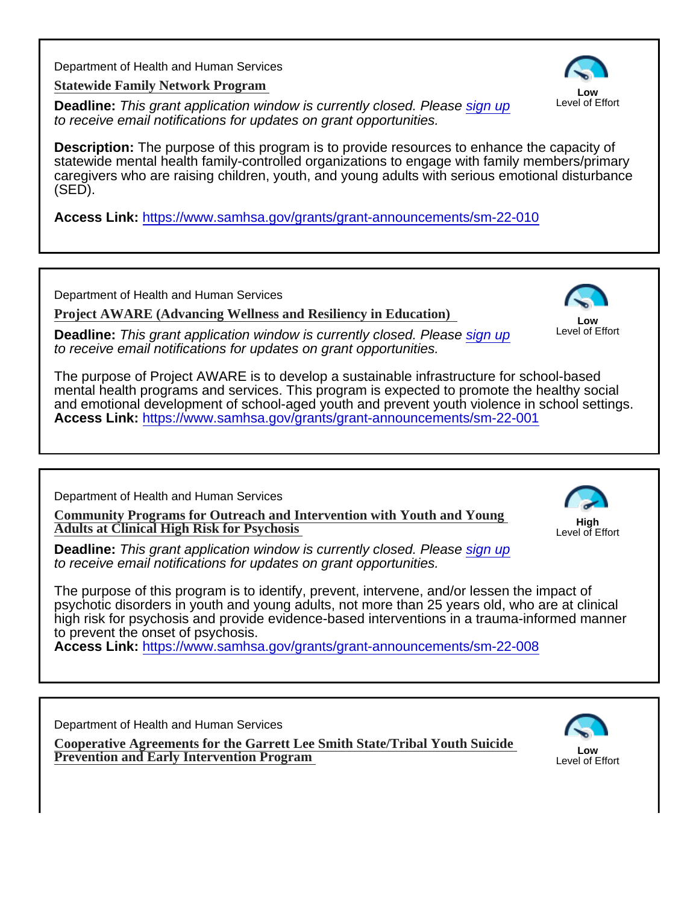Department of Health and Human Services

[Statewide Family Network Program](https://www.samhsa.gov/grants/grant-announcements/sm-22-010) 

Deadline: This grant application window is currently closed. Please [sign up](https://www.schoolsafety.gov/grants-finder-tool/#edit-intro) to receive email notifications for updates on grant opportunities.

Low Level of Effort

Description: The purpose of this program is to provide resources to enhance the capacity of statewide mental health family-controlled organizations to engage with family members/primary caregivers who are raising children, youth, and young adults with serious emotional disturbance (SED).

Access Link: <https://www.samhsa.gov/grants/grant-announcements/sm-22-010>

Department of Health and Human Services

[Project AWARE \(Advancing Wellness and Resiliency in Education\)](https://www.samhsa.gov/grants/grant-announcements/sm-22-001)

Deadline: This grant application window is currently closed. Please [sign up](https://www.schoolsafety.gov/grants-finder-tool/#edit-intro) to receive email notifications for updates on grant opportunities.

Low Level of Effort

The purpose of Project AWARE is to develop a sustainable infrastructure for school-based mental health programs and services. This program is expected to promote the healthy social and emotional development of school-aged youth and prevent youth violence in school settings. Access Link: <https://www.samhsa.gov/grants/grant-announcements/sm-22-001>

Department of Health and Human Services

[Community Programs for Outreach and Intervention with Youth and Young](https://www.samhsa.gov/grants/grant-announcements/sm-22-008)  [Adults at Clinical High Risk for Psychosis](https://www.samhsa.gov/grants/grant-announcements/sm-22-008)

High Level of Effort

Deadline: This grant application window is currently closed. Please [sign up](https://www.schoolsafety.gov/grants-finder-tool/#edit-intro) to receive email notifications for updates on grant opportunities.

The purpose of this program is to identify, prevent, intervene, and/or lessen the impact of psychotic disorders in youth and young adults, not more than 25 years old, who are at clinical high risk for psychosis and provide evidence-based interventions in a trauma-informed manner to prevent the onset of psychosis.

Access Link: <https://www.samhsa.gov/grants/grant-announcements/sm-22-008>

Department of Health and Human Services

[Cooperative Agreements for the Garrett Lee Smith State/Tribal Youth Suicide](https://www.samhsa.gov/grants/grant-announcements/sm-22-003) <u>[Prevention and Early Intervention Program](https://www.samhsa.gov/grants/grant-announcements/sm-22-003) Content Content Content Content Content Content Content</u><br>Prevention and Early Intervention Program

Level of Effort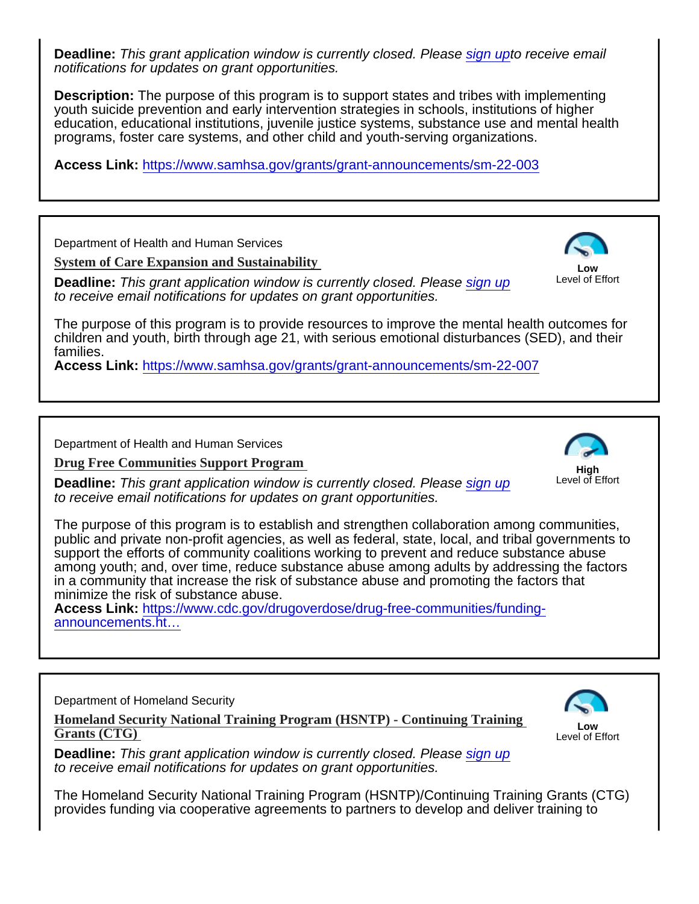Deadline: This grant application window is currently closed. Please [sign upt](https://www.schoolsafety.gov/grants-finder-tool/#edit-intro)o receive email notifications for updates on grant opportunities.

Description: The purpose of this program is to support states and tribes with implementing youth suicide prevention and early intervention strategies in schools, institutions of higher education, educational institutions, juvenile justice systems, substance use and mental health programs, foster care systems, and other child and youth-serving organizations.

Access Link: <https://www.samhsa.gov/grants/grant-announcements/sm-22-003>

Department of Health and Human Services

[System of Care Expansion and Sustainability](https://www.samhsa.gov/grants/grant-announcements/sm-22-007)

Deadline: This grant application window is currently closed. Please [sign up](https://www.schoolsafety.gov/grants-finder-tool/#edit-intro) to receive email notifications for updates on grant opportunities.

Low Level of Effort

The purpose of this program is to provide resources to improve the mental health outcomes for children and youth, birth through age 21, with serious emotional disturbances (SED), and their families.

Access Link: <https://www.samhsa.gov/grants/grant-announcements/sm-22-007>

Department of Health and Human Services

[Drug Free Communities Support Program](https://www.cdc.gov/drugoverdose/drug-free-communities/funding-announcements.html)

Deadline: This grant application window is currently closed. Please [sign up](https://www.schoolsafety.gov/grants-finder-tool/#edit-intro) to receive email notifications for updates on grant opportunities.

High Level of Effort

The purpose of this program is to establish and strengthen collaboration among communities, public and private non-profit agencies, as well as federal, state, local, and tribal governments to support the efforts of community coalitions working to prevent and reduce substance abuse among youth; and, over time, reduce substance abuse among adults by addressing the factors in a community that increase the risk of substance abuse and promoting the factors that minimize the risk of substance abuse.

Access Link: [https://www.cdc.gov/drugoverdose/drug-free-communities/funding](https://www.cdc.gov/drugoverdose/drug-free-communities/funding-announcements.html)[announcements.ht…](https://www.cdc.gov/drugoverdose/drug-free-communities/funding-announcements.html)

Department of Homeland Security

[Homeland Security National Training Program \(HSNTP\) - Continuing Training](https://www.fema.gov/fact-sheet/fiscal-year-2021-homeland-security-national-training-program-continuing-training-grants)  [Grants \(CTG\)](https://www.fema.gov/fact-sheet/fiscal-year-2021-homeland-security-national-training-program-continuing-training-grants) 

Low Level of Effort

Deadline: This grant application window is currently closed. Please [sign up](https://www.schoolsafety.gov/grants-finder-tool/#edit-intro) to receive email notifications for updates on grant opportunities.

The Homeland Security National Training Program (HSNTP)/Continuing Training Grants (CTG) provides funding via cooperative agreements to partners to develop and deliver training to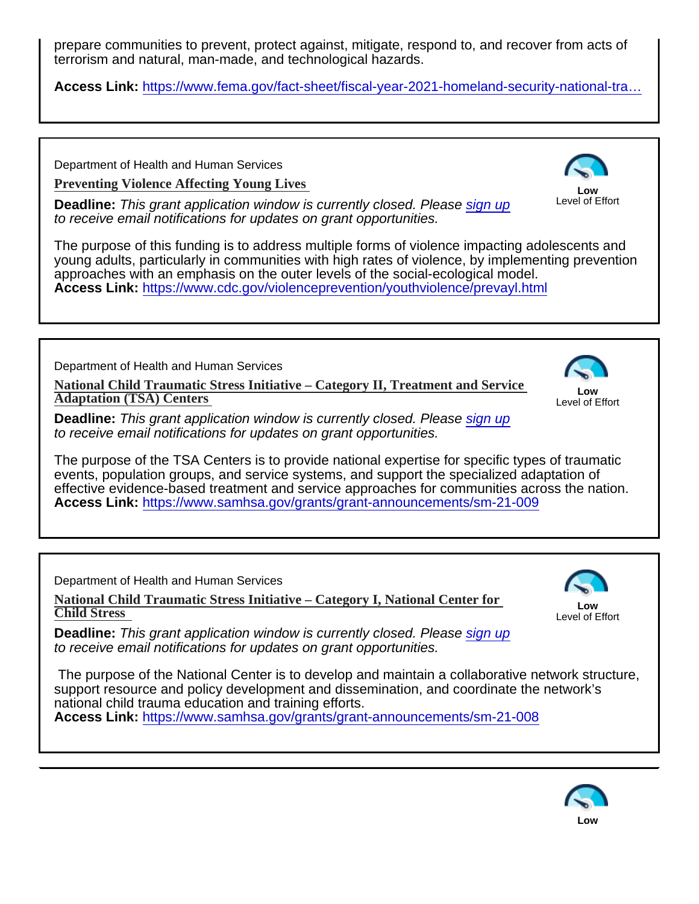prepare communities to prevent, protect against, mitigate, respond to, and recover from acts of terrorism and natural, man-made, and technological hazards.

Access Link: https://www.fema.gov/fact-sheet/fiscal-year-2021-homeland-security-national-tra...

Department of Health and Human Services

[Preventing Violence Affecting Young Lives](https://www.cdc.gov/violenceprevention/youthviolence/prevayl.html)

Deadline: This grant application window is currently closed. Please [sign up](https://www.schoolsafety.gov/grants-finder-tool/#edit-intro) to receive email notifications for updates on grant opportunities.

Low Level of Effort

The purpose of this funding is to address multiple forms of violence impacting adolescents and young adults, particularly in communities with high rates of violence, by implementing prevention approaches with an emphasis on the outer levels of the social-ecological model. Access Link: <https://www.cdc.gov/violenceprevention/youthviolence/prevayl.html>

Department of Health and Human Services

[National Child Traumatic Stress Initiative – Category II, Treatment and Service](https://www.samhsa.gov/grants/grant-announcements/sm-21-009) [Adaptation \(TSA\) Centers](https://www.samhsa.gov/grants/grant-announcements/sm-21-009) 

Low Level of Effort

Deadline: This grant application window is currently closed. Please [sign up](https://www.schoolsafety.gov/grants-finder-tool/#edit-intro) to receive email notifications for updates on grant opportunities.

The purpose of the TSA Centers is to provide national expertise for specific types of traumatic events, population groups, and service systems, and support the specialized adaptation of effective evidence-based treatment and service approaches for communities across the nation. Access Link: <https://www.samhsa.gov/grants/grant-announcements/sm-21-009>

Department of Health and Human Services

[National Child Traumatic Stress Initiative – Category I, National Center for](https://www.samhsa.gov/grants/grant-announcements/sm-21-008)  [Child Stress](https://www.samhsa.gov/grants/grant-announcements/sm-21-008) 

Low Level of Effort

Deadline: This grant application window is currently closed. Please [sign up](https://www.schoolsafety.gov/grants-finder-tool/#edit-intro) to receive email notifications for updates on grant opportunities.

 The purpose of the National Center is to develop and maintain a collaborative network structure, support resource and policy development and dissemination, and coordinate the network's national child trauma education and training efforts. Access Link: <https://www.samhsa.gov/grants/grant-announcements/sm-21-008>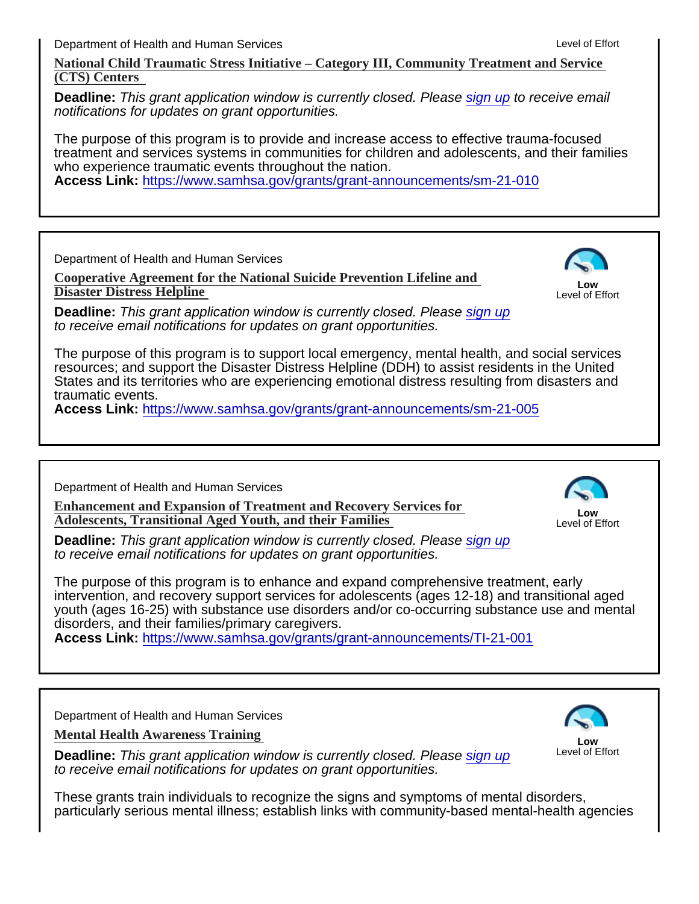Department of Health and Human Services

[National Child Traumatic Stress Initiative – Category III, Community Treatment and Service](https://www.samhsa.gov/grants/grant-announcements/sm-21-010) [\(CTS\) Centers](https://www.samhsa.gov/grants/grant-announcements/sm-21-010) 

Deadline: This grant application window is currently closed. Please [sign up](https://www.schoolsafety.gov/grants-finder-tool/#edit-intro) to receive email notifications for updates on grant opportunities.

The purpose of this program is to provide and increase access to effective trauma-focused treatment and services systems in communities for children and adolescents, and their families who experience traumatic events throughout the nation.

Access Link: <https://www.samhsa.gov/grants/grant-announcements/sm-21-010>

Department of Health and Human Services

[Cooperative Agreement for the National Suicide Prevention Lifeline and](https://www.samhsa.gov/grants/grant-announcements/sm-21-005) [Disaster Distress Helpline](https://www.samhsa.gov/grants/grant-announcements/sm-21-005)

Deadline: This grant application window is currently closed. Please [sign up](https://www.schoolsafety.gov/grants-finder-tool/#edit-intro) to receive email notifications for updates on grant opportunities.

Low Level of Effort

The purpose of this program is to support local emergency, mental health, and social services resources; and support the Disaster Distress Helpline (DDH) to assist residents in the United States and its territories who are experiencing emotional distress resulting from disasters and traumatic events.

Access Link: <https://www.samhsa.gov/grants/grant-announcements/sm-21-005>

Department of Health and Human Services

[Enhancement and Expansion of Treatment and Recovery Services f](https://www.samhsa.gov/grants/grant-announcements/TI-21-001)or [Adolescents, Transitional Aged Youth, and their Families](https://www.samhsa.gov/grants/grant-announcements/TI-21-001)

Low Level of Effort

Deadline: This grant application window is currently closed. Please [sign up](https://www.schoolsafety.gov/grants-finder-tool/#edit-intro) to receive email notifications for updates on grant opportunities.

The purpose of this program is to enhance and expand comprehensive treatment, early intervention, and recovery support services for adolescents (ages 12-18) and transitional aged youth (ages 16-25) with substance use disorders and/or co-occurring substance use and mental disorders, and their families/primary caregivers.

Access Link: <https://www.samhsa.gov/grants/grant-announcements/TI-21-001>

Department of Health and Human Services

[Mental Health Awareness Training](https://www.samhsa.gov/grants/grant-announcements/SM-21-007) 

Deadline: This grant application window is currently closed. Please [sign up](https://www.schoolsafety.gov/grants-finder-tool/#edit-intro) to receive email notifications for updates on grant opportunities.

Low Level of Effort

These grants train individuals to recognize the signs and symptoms of mental disorders, particularly serious mental illness; establish links with community-based mental-health agencies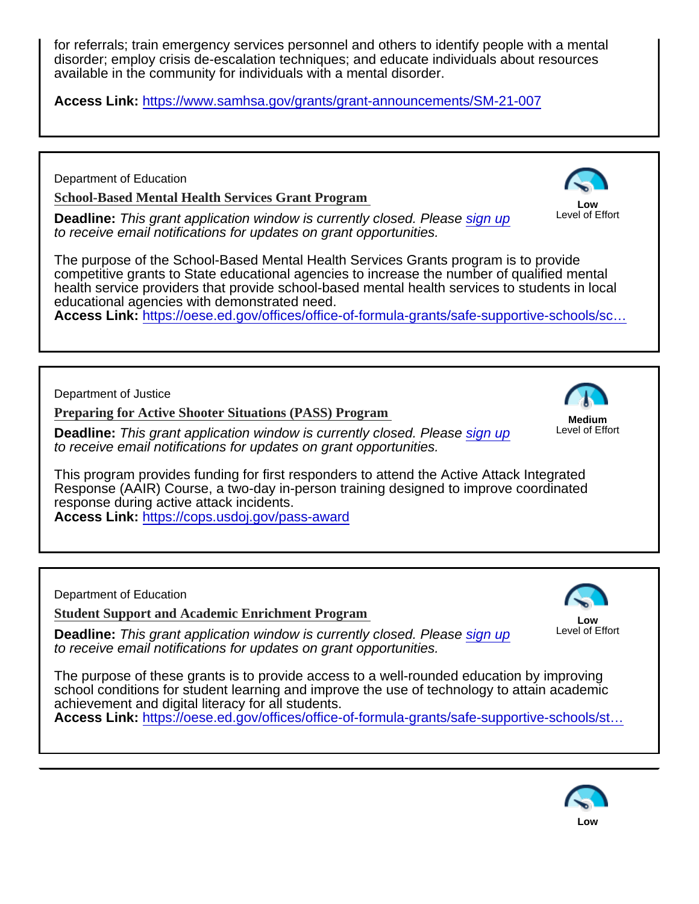for referrals; train emergency services personnel and others to identify people with a mental disorder; employ crisis de-escalation techniques; and educate individuals about resources available in the community for individuals with a mental disorder.

Access Link: <https://www.samhsa.gov/grants/grant-announcements/SM-21-007>

Department of Education

[School-Based Mental Health Services Grant Program](https://oese.ed.gov/offices/office-of-formula-grants/safe-supportive-schools/school-based-mental-health-services-grant-program/)

Deadline: This grant application window is currently closed. Please [sign up](https://www.schoolsafety.gov/grants-finder-tool/#edit-intro) to receive email notifications for updates on grant opportunities.

Low Level of Effort

The purpose of the School-Based Mental Health Services Grants program is to provide competitive grants to State educational agencies to increase the number of qualified mental health service providers that provide school-based mental health services to students in local educational agencies with demonstrated need.

Access Link: https://oese.ed.gov/offices/office-of-formula-grants/safe-supportive-schools/sc...

Department of Justice

[Preparing for Active Shooter Situations \(PASS\) Program](https://cops.usdoj.gov/pass-award)

Deadline: This grant application window is currently closed. Please [sign up](https://www.schoolsafety.gov/grants-finder-tool/#edit-intro) to receive email notifications for updates on grant opportunities.

Medium Level of Effort

This program provides funding for first responders to attend the Active Attack Integrated Response (AAIR) Course, a two-day in-person training designed to improve coordinated response during active attack incidents. Access Link: <https://cops.usdoj.gov/pass-award>

Department of Education

[Student Support and Academic Enrichment Program](https://oese.ed.gov/offices/office-of-formula-grants/safe-supportive-schools/student-support-and-academic-enrichment-program/)

Deadline: This grant application window is currently closed. Please [sign up](https://www.schoolsafety.gov/grants-finder-tool/#edit-intro) to receive email notifications for updates on grant opportunities.

Low Level of Effort

The purpose of these grants is to provide access to a well-rounded education by improving school conditions for student learning and improve the use of technology to attain academic achievement and digital literacy for all students.

Access Link: [https://oese.ed.gov/offices/office-of-formula-grants/safe-supportive-schools/st…](https://oese.ed.gov/offices/office-of-formula-grants/safe-supportive-schools/student-support-and-academic-enrichment-program/)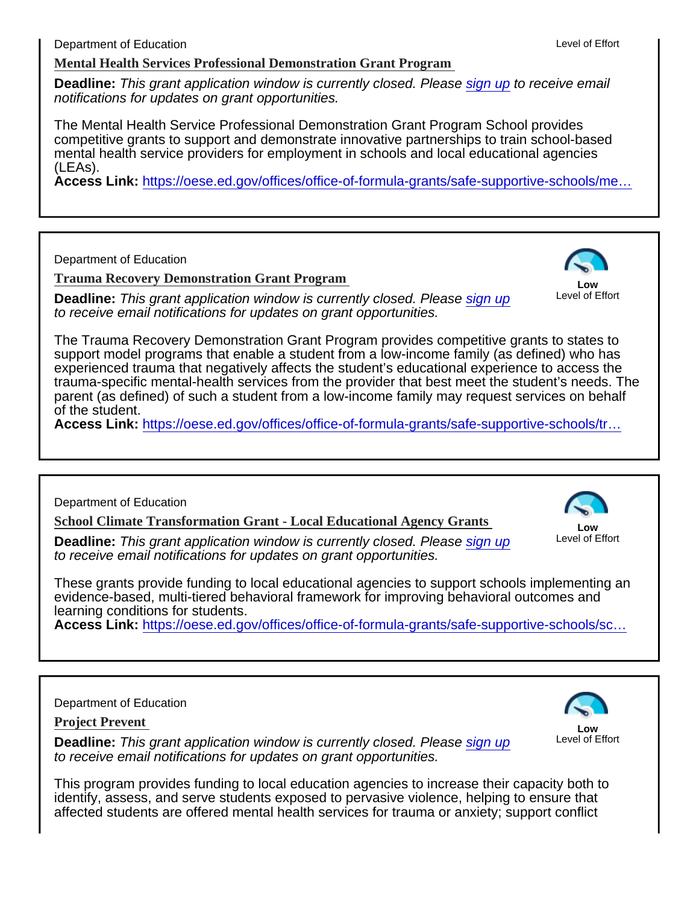[Mental Health Services Professional Demonstration Grant Program](https://oese.ed.gov/offices/office-of-formula-grants/safe-supportive-schools/mental-health-service-professional-demonstration-grant-program/)

Deadline: This grant application window is currently closed. Please [sign up](https://www.schoolsafety.gov/grants-finder-tool/#edit-intro) to receive email notifications for updates on grant opportunities.

The Mental Health Service Professional Demonstration Grant Program School provides competitive grants to support and demonstrate innovative partnerships to train school-based mental health service providers for employment in schools and local educational agencies (LEAs).

Access Link: https://oese.ed.gov/offices/office-of-formula-grants/safe-supportive-schools/me...

Department of Education

[Trauma Recovery Demonstration Grant Program](https://oese.ed.gov/offices/office-of-formula-grants/safe-supportive-schools/trauma-recovery-demonstration-grant-program/)

Deadline: This grant application window is currently closed. Please [sign up](https://www.schoolsafety.gov/grants-finder-tool/#edit-intro) to receive email notifications for updates on grant opportunities.

Low Level of Effort

The Trauma Recovery Demonstration Grant Program provides competitive grants to states to support model programs that enable a student from a low-income family (as defined) who has experienced trauma that negatively affects the student's educational experience to access the trauma-specific mental-health services from the provider that best meet the student's needs. The parent (as defined) of such a student from a low-income family may request services on behalf of the student.

Access Link: [https://oese.ed.gov/offices/office-of-formula-grants/safe-supportive-schools/tr…](https://oese.ed.gov/offices/office-of-formula-grants/safe-supportive-schools/trauma-recovery-demonstration-grant-program/)

Department of Education

[School Climate Transformation Grant - Local Educational Agency Grants](https://oese.ed.gov/offices/office-of-formula-grants/safe-supportive-schools/school-climate-transformation-grant-local-educational-agency-grants-program/)

Deadline: This grant application window is currently closed. Please [sign up](https://www.schoolsafety.gov/grants-finder-tool/#edit-intro) to receive email notifications for updates on grant opportunities.

Low Level of Effort

These grants provide funding to local educational agencies to support schools implementing an evidence-based, multi-tiered behavioral framework for improving behavioral outcomes and learning conditions for students.

Access Link: https://oese.ed.gov/offices/office-of-formula-grants/safe-supportive-schools/sc...

## Department of Education

[Project Prevent](https://oese.ed.gov/offices/office-of-formula-grants/safe-supportive-schools/project-prevent-grant-program/) 

Deadline: This grant application window is currently closed. Please [sign up](https://www.schoolsafety.gov/grants-finder-tool/#edit-intro) to receive email notifications for updates on grant opportunities.

Low Level of Effort

This program provides funding to local education agencies to increase their capacity both to identify, assess, and serve students exposed to pervasive violence, helping to ensure that affected students are offered mental health services for trauma or anxiety; support conflict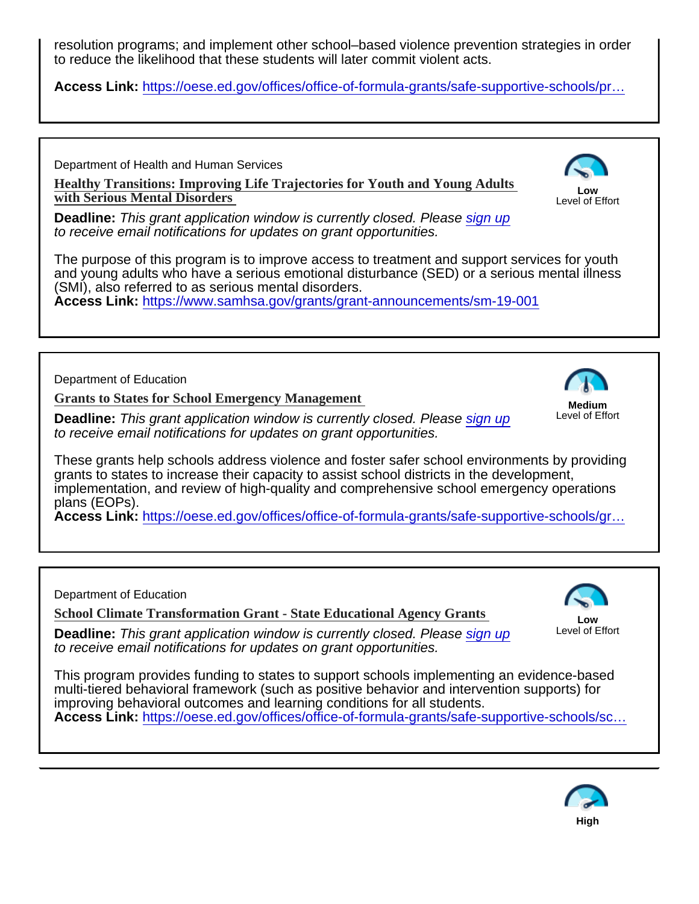resolution programs; and implement other school–based violence prevention strategies in order to reduce the likelihood that these students will later commit violent acts.

Access Link: https://oese.ed.gov/offices/office-of-formula-grants/safe-supportive-schools/pr...

Department of Health and Human Services

[Healthy Transitions: Improving Life Trajectories for Youth and Young Adults](https://www.samhsa.gov/grants/grant-announcements/sm-19-001)  [with Serious Mental Disorders](https://www.samhsa.gov/grants/grant-announcements/sm-19-001) 

Low Level of Effort

Deadline: This grant application window is currently closed. Please [sign up](https://www.schoolsafety.gov/grants-finder-tool/#edit-intro) to receive email notifications for updates on grant opportunities.

The purpose of this program is to improve access to treatment and support services for youth and young adults who have a serious emotional disturbance (SED) or a serious mental illness (SMI), also referred to as serious mental disorders.

Access Link: <https://www.samhsa.gov/grants/grant-announcements/sm-19-001>

Department of Education

[Grants to States for School Emergency Managemen](https://oese.ed.gov/offices/office-of-formula-grants/safe-supportive-schools/grants-to-states-for-school-emergency-management-grant-program/)t

Deadline: This grant application window is currently closed. Please [sign up](https://www.schoolsafety.gov/grants-finder-tool/#edit-intro) to receive email notifications for updates on grant opportunities.

Medium Level of Effort

These grants help schools address violence and foster safer school environments by providing grants to states to increase their capacity to assist school districts in the development, implementation, and review of high-quality and comprehensive school emergency operations plans (EOPs).

Access Link: https://oese.ed.gov/offices/office-of-formula-grants/safe-supportive-schools/gr...

Department of Education

[School Climate Transformation Grant - State Educational Agency Grants](https://oese.ed.gov/offices/office-of-formula-grants/safe-supportive-schools/school-climate-transformation-grant-state-educational-agency-grants-program/)

Deadline: This grant application window is currently closed. Please [sign up](https://www.schoolsafety.gov/grants-finder-tool/#edit-intro) to receive email notifications for updates on grant opportunities.

Low Level of Effort

This program provides funding to states to support schools implementing an evidence-based multi-tiered behavioral framework (such as positive behavior and intervention supports) for improving behavioral outcomes and learning conditions for all students. Access Link: https://oese.ed.gov/offices/office-of-formula-grants/safe-supportive-schools/sc...